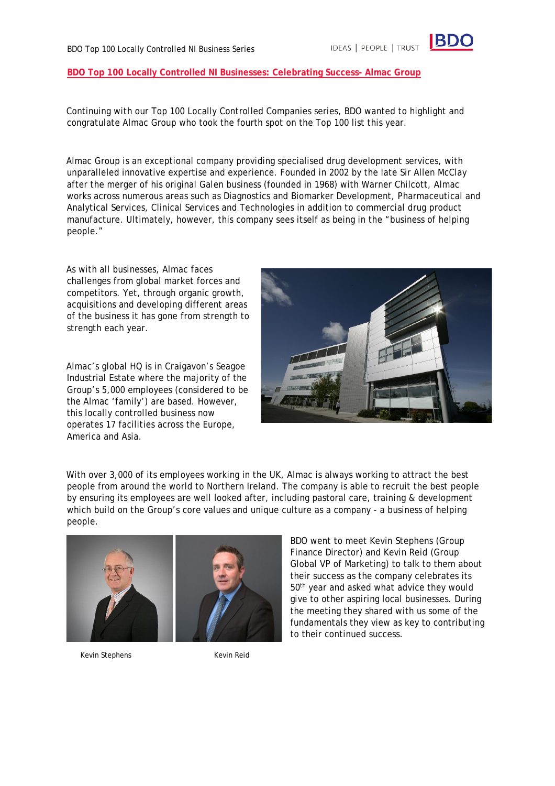## **BDO Top 100 Locally Controlled NI Businesses: Celebrating Success- Almac Group**

Continuing with our Top 100 Locally Controlled Companies series, BDO wanted to highlight and congratulate Almac Group who took the fourth spot on the Top 100 list this year.

Almac Group is an exceptional company providing specialised drug development services, with unparalleled innovative expertise and experience. Founded in 2002 by the late Sir Allen McClay after the merger of his original Galen business (founded in 1968) with Warner Chilcott, Almac works across numerous areas such as Diagnostics and Biomarker Development, Pharmaceutical and Analytical Services, Clinical Services and Technologies in addition to commercial drug product manufacture. Ultimately, however, this company sees itself as being in the "business of helping people."

As with all businesses, Almac faces challenges from global market forces and competitors. Yet, through organic growth, acquisitions and developing different areas of the business it has gone from strength to strength each year.

Almac's global HQ is in Craigavon's Seagoe Industrial Estate where the majority of the Group's 5,000 employees (considered to be the Almac 'family') are based. However, this locally controlled business now operates 17 facilities across the Europe, America and Asia.



With over 3,000 of its employees working in the UK, Almac is always working to attract the best people from around the world to Northern Ireland. The company is able to recruit the best people by ensuring its employees are well looked after, including pastoral care, training & development which build on the Group's core values and unique culture as a company - a business of helping people.



BDO went to meet Kevin Stephens (Group Finance Director) and Kevin Reid (Group Global VP of Marketing) to talk to them about their success as the company celebrates its 50<sup>th</sup> year and asked what advice they would give to other aspiring local businesses. During the meeting they shared with us some of the fundamentals they view as key to contributing to their continued success.

Kevin Stephens Kevin Reid